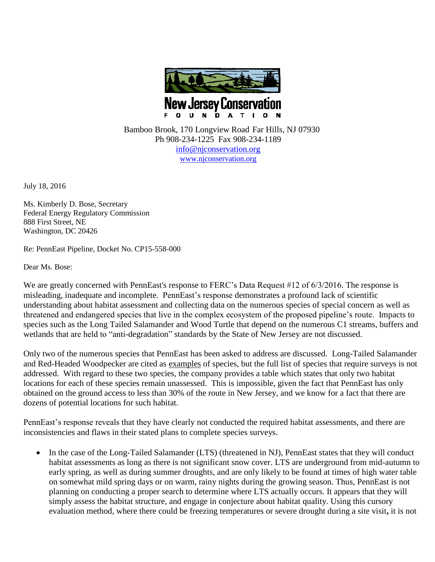

 Bamboo Brook, 170 Longview Road Far Hills, NJ 07930 Ph 908-234-1225 Fax 908-234-1189 [info@njconservation.org](mailto:info@njconservation.org) [www.njconservation.org](http://www.njconservation.org/)

July 18, 2016

Ms. Kimberly D. Bose, Secretary Federal Energy Regulatory Commission 888 First Street, NE Washington, DC 20426

Re: PennEast Pipeline, Docket No. CP15-558-000

Dear Ms. Bose:

We are greatly concerned with PennEast's response to FERC's Data Request #12 of  $6/3/2016$ . The response is misleading, inadequate and incomplete. PennEast's response demonstrates a profound lack of scientific understanding about habitat assessment and collecting data on the numerous species of special concern as well as threatened and endangered species that live in the complex ecosystem of the proposed pipeline's route. Impacts to species such as the Long Tailed Salamander and Wood Turtle that depend on the numerous C1 streams, buffers and wetlands that are held to "anti-degradation" standards by the State of New Jersey are not discussed.

Only two of the numerous species that PennEast has been asked to address are discussed. Long-Tailed Salamander and Red-Headed Woodpecker are cited as examples of species, but the full list of species that require surveys is not addressed. With regard to these two species, the company provides a table which states that only two habitat locations for each of these species remain unassessed. This is impossible, given the fact that PennEast has only obtained on the ground access to less than 30% of the route in New Jersey, and we know for a fact that there are dozens of potential locations for such habitat.

PennEast's response reveals that they have clearly not conducted the required habitat assessments, and there are inconsistencies and flaws in their stated plans to complete species surveys.

• In the case of the Long-Tailed Salamander (LTS) (threatened in NJ), PennEast states that they will conduct habitat assessments as long as there is not significant snow cover. LTS are underground from mid-autumn to early spring, as well as during summer droughts, and are only likely to be found at times of high water table on somewhat mild spring days or on warm, rainy nights during the growing season. Thus, PennEast is not planning on conducting a proper search to determine where LTS actually occurs. It appears that they will simply assess the habitat structure, and engage in conjecture about habitat quality. Using this cursory evaluation method, where there could be freezing temperatures or severe drought during a site visit**,** it is not